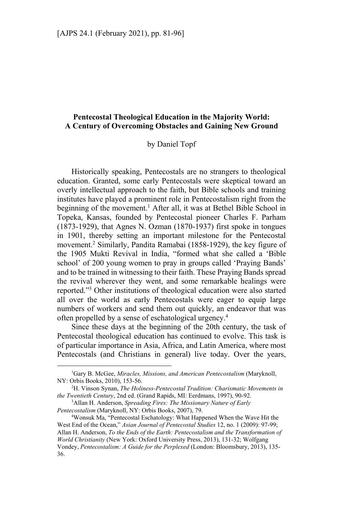# **Pentecostal Theological Education in the Majority World: A Century of Overcoming Obstacles and Gaining New Ground**

### by Daniel Topf

Historically speaking, Pentecostals are no strangers to theological education. Granted, some early Pentecostals were skeptical toward an overly intellectual approach to the faith, but Bible schools and training institutes have played a prominent role in Pentecostalism right from the beginning of the movement.<sup>1</sup> After all, it was at Bethel Bible School in Topeka, Kansas, founded by Pentecostal pioneer Charles F. Parham (1873-1929), that Agnes N. Ozman (1870-1937) first spoke in tongues in 1901, thereby setting an important milestone for the Pentecostal movement.2 Similarly, Pandita Ramabai (1858-1929), the key figure of the 1905 Mukti Revival in India, "formed what she called a 'Bible school' of 200 young women to pray in groups called 'Praying Bands' and to be trained in witnessing to their faith. These Praying Bands spread the revival wherever they went, and some remarkable healings were reported."3 Other institutions of theological education were also started all over the world as early Pentecostals were eager to equip large numbers of workers and send them out quickly, an endeavor that was often propelled by a sense of eschatological urgency.4

Since these days at the beginning of the 20th century, the task of Pentecostal theological education has continued to evolve. This task is of particular importance in Asia, Africa, and Latin America, where most Pentecostals (and Christians in general) live today. Over the years,

 $\overline{a}$ 

<sup>1</sup> Gary B. McGee, *Miracles, Missions, and American Pentecostalism* (Maryknoll, NY: Orbis Books, 2010), 153-56. 2

H. Vinson Synan, *The Holiness-Pentecostal Tradition: Charismatic Movements in the Twentieth Century*, 2nd ed. (Grand Rapids, MI: Eerdmans, 1997), 90-92. 3

Allan H. Anderson, *Spreading Fires: The Missionary Nature of Early Pentecostalism* (Maryknoll, NY: Orbis Books, 2007), 79. 4

Wonsuk Ma, "Pentecostal Eschatology: What Happened When the Wave Hit the West End of the Ocean," *Asian Journal of Pentecostal Studies* 12, no. 1 (2009): 97-99; Allan H. Anderson, *To the Ends of the Earth: Pentecostalism and the Transformation of World Christianity* (New York: Oxford University Press, 2013), 131-32; Wolfgang Vondey, *Pentecostalism: A Guide for the Perplexed* (London: Bloomsbury, 2013), 135- 36.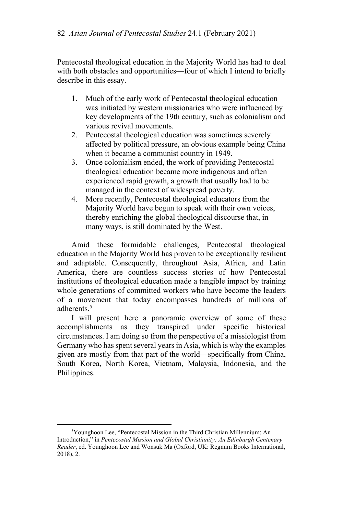Pentecostal theological education in the Majority World has had to deal with both obstacles and opportunities—four of which I intend to briefly describe in this essay.

- 1. Much of the early work of Pentecostal theological education was initiated by western missionaries who were influenced by key developments of the 19th century, such as colonialism and various revival movements.
- 2. Pentecostal theological education was sometimes severely affected by political pressure, an obvious example being China when it became a communist country in 1949.
- 3. Once colonialism ended, the work of providing Pentecostal theological education became more indigenous and often experienced rapid growth, a growth that usually had to be managed in the context of widespread poverty.
- 4. More recently, Pentecostal theological educators from the Majority World have begun to speak with their own voices, thereby enriching the global theological discourse that, in many ways, is still dominated by the West.

Amid these formidable challenges, Pentecostal theological education in the Majority World has proven to be exceptionally resilient and adaptable. Consequently, throughout Asia, Africa, and Latin America, there are countless success stories of how Pentecostal institutions of theological education made a tangible impact by training whole generations of committed workers who have become the leaders of a movement that today encompasses hundreds of millions of adherents.<sup>5</sup>

I will present here a panoramic overview of some of these accomplishments as they transpired under specific historical circumstances. I am doing so from the perspective of a missiologist from Germany who has spent several years in Asia, which is why the examples given are mostly from that part of the world—specifically from China, South Korea, North Korea, Vietnam, Malaysia, Indonesia, and the Philippines.

<sup>&</sup>lt;sup>5</sup>Younghoon Lee, "Pentecostal Mission in the Third Christian Millennium: An Introduction," in *Pentecostal Mission and Global Christianity: An Edinburgh Centenary Reader*, ed. Younghoon Lee and Wonsuk Ma (Oxford, UK: Regnum Books International, 2018), 2.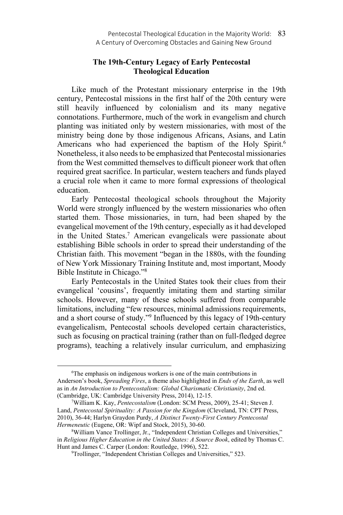## **The 19th-Century Legacy of Early Pentecostal Theological Education**

Like much of the Protestant missionary enterprise in the 19th century, Pentecostal missions in the first half of the 20th century were still heavily influenced by colonialism and its many negative connotations. Furthermore, much of the work in evangelism and church planting was initiated only by western missionaries, with most of the ministry being done by those indigenous Africans, Asians, and Latin Americans who had experienced the baptism of the Holy Spirit.<sup>6</sup> Nonetheless, it also needs to be emphasized that Pentecostal missionaries from the West committed themselves to difficult pioneer work that often required great sacrifice. In particular, western teachers and funds played a crucial role when it came to more formal expressions of theological education.

Early Pentecostal theological schools throughout the Majority World were strongly influenced by the western missionaries who often started them. Those missionaries, in turn, had been shaped by the evangelical movement of the 19th century, especially as it had developed in the United States.7 American evangelicals were passionate about establishing Bible schools in order to spread their understanding of the Christian faith. This movement "began in the 1880s, with the founding of New York Missionary Training Institute and, most important, Moody Bible Institute in Chicago."8

Early Pentecostals in the United States took their clues from their evangelical 'cousins', frequently imitating them and starting similar schools. However, many of these schools suffered from comparable limitations, including "few resources, minimal admissions requirements, and a short course of study."<sup>9</sup> Influenced by this legacy of 19th-century evangelicalism, Pentecostal schools developed certain characteristics, such as focusing on practical training (rather than on full-fledged degree programs), teaching a relatively insular curriculum, and emphasizing

 $\overline{a}$ 

<sup>6</sup> The emphasis on indigenous workers is one of the main contributions in Anderson's book, *Spreading Fires*, a theme also highlighted in *Ends of the Earth*, as well as in *An Introduction to Pentecostalism: Global Charismatic Christianity*, 2nd ed. (Cambridge, UK: Cambridge University Press, 2014), 12-15.

William K. Kay, *Pentecostalism* (London: SCM Press, 2009), 25-41; Steven J. Land, *Pentecostal Spirituality: A Passion for the Kingdom* (Cleveland, TN: CPT Press, 2010), 36-44; Harlyn Graydon Purdy, *A Distinct Twenty-First Century Pentecostal Hermeneutic* (Eugene, OR: Wipf and Stock, 2015), 30-60.

William Vance Trollinger, Jr., "Independent Christian Colleges and Universities," in *Religious Higher Education in the United States: A Source Book*, edited by Thomas C. Hunt and James C. Carper (London: Routledge, 1996), 522.

Trollinger, "Independent Christian Colleges and Universities," 523.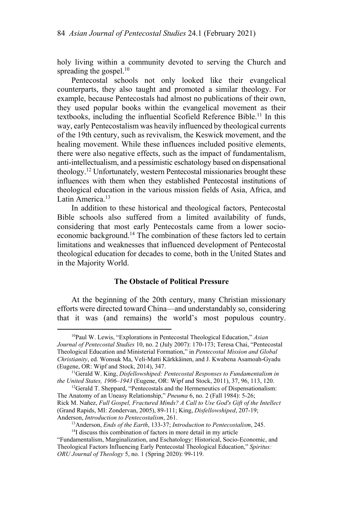holy living within a community devoted to serving the Church and spreading the gospel.<sup>10</sup>

Pentecostal schools not only looked like their evangelical counterparts, they also taught and promoted a similar theology. For example, because Pentecostals had almost no publications of their own, they used popular books within the evangelical movement as their textbooks, including the influential Scofield Reference Bible.<sup>11</sup> In this way, early Pentecostalism was heavily influenced by theological currents of the 19th century, such as revivalism, the Keswick movement, and the healing movement. While these influences included positive elements, there were also negative effects, such as the impact of fundamentalism, anti-intellectualism, and a pessimistic eschatology based on dispensational theology.12 Unfortunately, western Pentecostal missionaries brought these influences with them when they established Pentecostal institutions of theological education in the various mission fields of Asia, Africa, and Latin America.<sup>13</sup>

In addition to these historical and theological factors, Pentecostal Bible schools also suffered from a limited availability of funds, considering that most early Pentecostals came from a lower socioeconomic background.<sup>14</sup> The combination of these factors led to certain limitations and weaknesses that influenced development of Pentecostal theological education for decades to come, both in the United States and in the Majority World.

## **The Obstacle of Political Pressure**

At the beginning of the 20th century, many Christian missionary efforts were directed toward China—and understandably so, considering that it was (and remains) the world's most populous country.

<sup>10</sup>Paul W. Lewis, "Explorations in Pentecostal Theological Education," *Asian Journal of Pentecostal Studies* 10, no. 2 (July 2007): 170-173; Teresa Chai, "Pentecostal Theological Education and Ministerial Formation," in *Pentecostal Mission and Global Christianity*, ed. Wonsuk Ma, Veli-Matti Kärkkäinen, and J. Kwabena Asamoah-Gyadu

<sup>&</sup>lt;sup>11</sup>Gerald W. King, *Disfellowshiped: Pentecostal Responses to Fundamentalism in the United States, 1906–1943* (Eugene, OR: Wipf and Stock, 2011), 37, 96, 113, 120.<br><sup>12</sup>Gerald T. Sheppard, "Pentecostals and the Hermeneutics of Dispensationalism:

The Anatomy of an Uneasy Relationship," *Pneuma* 6, no. 2 (Fall 1984): 5-26; Rick M. Nañez, *Full Gospel, Fractured Minds? A Call to Use God's Gift of the Intellect*  (Grand Rapids, MI: Zondervan, 2005), 89-111; King, *Disfellowshiped*, 207-19;

Anderson, *Introduction to Pentecostalism*, 261.<br><sup>13</sup>Anderson, *Ends of the Earth*, 133-37; *Introduction to Pentecostalism*, 245.<br><sup>14</sup>I discuss this combination of factors in more detail in my article

<sup>&</sup>quot;Fundamentalism, Marginalization, and Eschatology: Historical, Socio-Economic, and Theological Factors Influencing Early Pentecostal Theological Education," *Spiritus: ORU Journal of Theology* 5, no. 1 (Spring 2020): 99-119.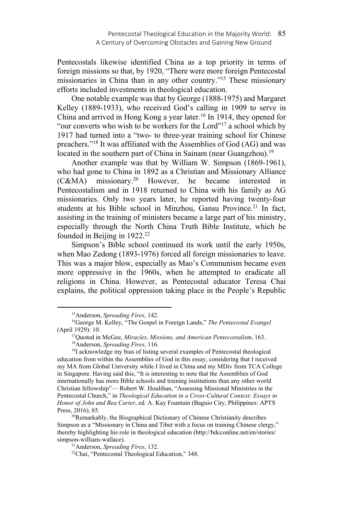Pentecostals likewise identified China as a top priority in terms of foreign missions so that, by 1920, "There were more foreign Pentecostal missionaries in China than in any other country."15 These missionary efforts included investments in theological education.

One notable example was that by George (1888-1975) and Margaret Kelley (1889-1933), who received God's calling in 1909 to serve in China and arrived in Hong Kong a year later.<sup>16</sup> In 1914, they opened for "our converts who wish to be workers for the Lord"<sup>17</sup> a school which by 1917 had turned into a "two- to three-year training school for Chinese preachers."18 It was affiliated with the Assemblies of God (AG) and was located in the southern part of China in Sainam (near Guangzhou).<sup>19</sup>

Another example was that by William W. Simpson (1869-1961), who had gone to China in 1892 as a Christian and Missionary Alliance  $(C&MA)$  missionary.<sup>20</sup> However, he became interested in Pentecostalism and in 1918 returned to China with his family as AG missionaries. Only two years later, he reported having twenty-four students at his Bible school in Minzhou, Gansu Province.<sup>21</sup> In fact, assisting in the training of ministers became a large part of his ministry, especially through the North China Truth Bible Institute, which he founded in Beijing in  $1922.<sup>22</sup>$ 

Simpson's Bible school continued its work until the early 1950s, when Mao Zedong (1893-1976) forced all foreign missionaries to leave. This was a major blow, especially as Mao's Communism became even more oppressive in the 1960s, when he attempted to eradicate all religions in China. However, as Pentecostal educator Teresa Chai explains, the political oppression taking place in the People's Republic

<sup>&</sup>lt;sup>15</sup>Anderson, *Spreading Fires*, 142.<br><sup>16</sup>George M. Kelley, "The Gospel in Foreign Lands," *The Pentecostal Evangel* (April 1929): 10.<br><sup>17</sup>Quoted in McGee, *Miracles, Missions, and American Pentecostalism*, 163.<br><sup>18</sup>Anderson, *Spreading Fires*, 116.<br><sup>19</sup>I acknowledge my bias of listing several examples of Pentecostal theological

education from within the Assemblies of God in this essay, considering that I received my MA from Global University while I lived in China and my MDiv from TCA College in Singapore. Having said this, "It is interesting to note that the Assemblies of God internationally has more Bible schools and training institutions than any other world Christian fellowship"— Robert W. Houlihan, "Assessing Missional Ministries in the Pentecostal Church," in *Theological Education in a Cross-Cultural Context: Essays in Honor of John and Bea Carter*, ed. A. Kay Fountain (Baguio City, Philippines: APTS Press, 2016), 85.<br><sup>20</sup>Remarkably, the Biographical Dictionary of Chinese Christianity describes

Simpson as a "Missionary in China and Tibet with a focus on training Chinese clergy," thereby highlighting his role in theological education (http://bdcconline.net/en/stories/ simpson-william-wallace).<br><sup>21</sup>Anderson, *Spreading Fires*, 132.<br><sup>22</sup>Chai, "Pentecostal Theological Education," 348.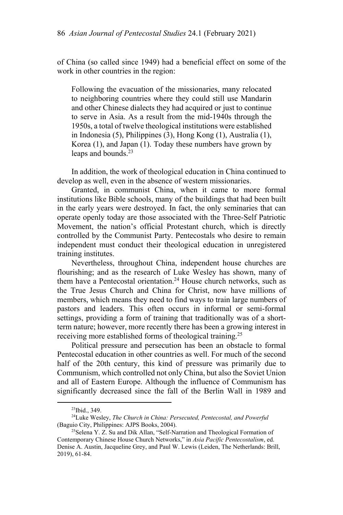of China (so called since 1949) had a beneficial effect on some of the work in other countries in the region:

Following the evacuation of the missionaries, many relocated to neighboring countries where they could still use Mandarin and other Chinese dialects they had acquired or just to continue to serve in Asia. As a result from the mid-1940s through the 1950s, a total of twelve theological institutions were established in Indonesia (5), Philippines (3), Hong Kong (1), Australia (1), Korea (1), and Japan (1). Today these numbers have grown by leaps and bounds.<sup>23</sup>

In addition, the work of theological education in China continued to develop as well, even in the absence of western missionaries.

Granted, in communist China, when it came to more formal institutions like Bible schools, many of the buildings that had been built in the early years were destroyed. In fact, the only seminaries that can operate openly today are those associated with the Three-Self Patriotic Movement, the nation's official Protestant church, which is directly controlled by the Communist Party. Pentecostals who desire to remain independent must conduct their theological education in unregistered training institutes.

Nevertheless, throughout China, independent house churches are flourishing; and as the research of Luke Wesley has shown, many of them have a Pentecostal orientation.<sup>24</sup> House church networks, such as the True Jesus Church and China for Christ, now have millions of members, which means they need to find ways to train large numbers of pastors and leaders. This often occurs in informal or semi-formal settings, providing a form of training that traditionally was of a shortterm nature; however, more recently there has been a growing interest in receiving more established forms of theological training.<sup>25</sup>

Political pressure and persecution has been an obstacle to formal Pentecostal education in other countries as well. For much of the second half of the 20th century, this kind of pressure was primarily due to Communism, which controlled not only China, but also the Soviet Union and all of Eastern Europe. Although the influence of Communism has significantly decreased since the fall of the Berlin Wall in 1989 and

 $23$ Ibid., 349.

<sup>&</sup>lt;sup>24</sup>Luke Wesley, *The Church in China: Persecuted, Pentecostal, and Powerful* (Baguio City, Philippines: AJPS Books, 2004).

<sup>&</sup>lt;sup>25</sup>Selena Y. Z. Su and Dik Allan, "Self-Narration and Theological Formation of Contemporary Chinese House Church Networks," in *Asia Pacific Pentecostalism*, ed. Denise A. Austin, Jacqueline Grey, and Paul W. Lewis (Leiden, The Netherlands: Brill, 2019), 61-84.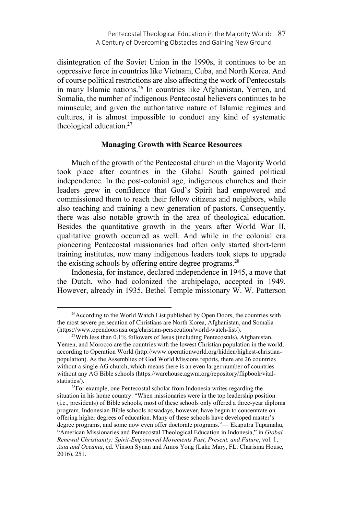disintegration of the Soviet Union in the 1990s, it continues to be an oppressive force in countries like Vietnam, Cuba, and North Korea. And of course political restrictions are also affecting the work of Pentecostals in many Islamic nations.<sup>26</sup> In countries like Afghanistan, Yemen, and Somalia, the number of indigenous Pentecostal believers continues to be minuscule; and given the authoritative nature of Islamic regimes and cultures, it is almost impossible to conduct any kind of systematic theological education. $27$ 

## **Managing Growth with Scarce Resources**

Much of the growth of the Pentecostal church in the Majority World took place after countries in the Global South gained political independence. In the post-colonial age, indigenous churches and their leaders grew in confidence that God's Spirit had empowered and commissioned them to reach their fellow citizens and neighbors, while also teaching and training a new generation of pastors. Consequently, there was also notable growth in the area of theological education. Besides the quantitative growth in the years after World War II, qualitative growth occurred as well. And while in the colonial era pioneering Pentecostal missionaries had often only started short-term training institutes, now many indigenous leaders took steps to upgrade the existing schools by offering entire degree programs.<sup>28</sup>

Indonesia, for instance, declared independence in 1945, a move that the Dutch, who had colonized the archipelago, accepted in 1949. However, already in 1935, Bethel Temple missionary W. W. Patterson

 $26$ According to the World Watch List published by Open Doors, the countries with the most severe persecution of Christians are North Korea, Afghanistan, and Somalia (https://www.opendoorsusa.org/christian-persecution/world-watch-list/).

 $^{27}$ With less than 0.1% followers of Jesus (including Pentecostals), Afghanistan, Yemen, and Morocco are the countries with the lowest Christian population in the world, according to Operation World (http://www.operationworld.org/hidden/highest-christianpopulation). As the Assemblies of God World Missions reports, there are 26 countries without a single AG church, which means there is an even larger number of countries without any AG Bible schools (https://warehouse.agwm.org/repository/flipbook/vitalstatistics/).<br><sup>28</sup>For example, one Pentecostal scholar from Indonesia writes regarding the

situation in his home country: "When missionaries were in the top leadership position (i.e., presidents) of Bible schools, most of these schools only offered a three-year diploma program. Indonesian Bible schools nowadays, however, have begun to concentrate on offering higher degrees of education. Many of these schools have developed master's degree programs, and some now even offer doctorate programs."— Ekaputra Tupamahu, "American Missionaries and Pentecostal Theological Education in Indonesia," in *Global Renewal Christianity: Spirit-Empowered Movements Past, Present, and Future*, vol. 1, *Asia and Oceania*, ed. Vinson Synan and Amos Yong (Lake Mary, FL: Charisma House, 2016), 251.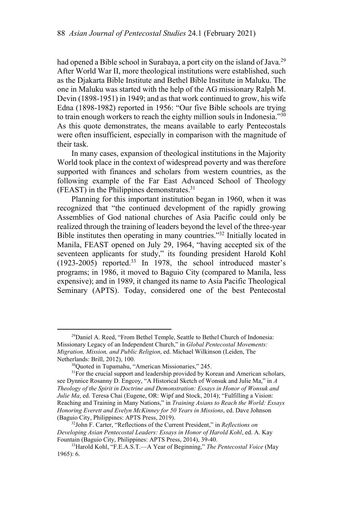had opened a Bible school in Surabaya, a port city on the island of Java.<sup>29</sup> After World War II, more theological institutions were established, such as the Djakarta Bible Institute and Bethel Bible Institute in Maluku. The one in Maluku was started with the help of the AG missionary Ralph M. Devin (1898-1951) in 1949; and as that work continued to grow, his wife Edna (1898-1982) reported in 1956: "Our five Bible schools are trying to train enough workers to reach the eighty million souls in Indonesia." $30$ As this quote demonstrates, the means available to early Pentecostals were often insufficient, especially in comparison with the magnitude of their task.

In many cases, expansion of theological institutions in the Majority World took place in the context of widespread poverty and was therefore supported with finances and scholars from western countries, as the following example of the Far East Advanced School of Theology (FEAST) in the Philippines demonstrates.31

Planning for this important institution began in 1960, when it was recognized that "the continued development of the rapidly growing Assemblies of God national churches of Asia Pacific could only be realized through the training of leaders beyond the level of the three-year Bible institutes then operating in many countries."32 Initially located in Manila, FEAST opened on July 29, 1964, "having accepted six of the seventeen applicants for study," its founding president Harold Kohl (1923-2005) reported.33 In 1978, the school introduced master's programs; in 1986, it moved to Baguio City (compared to Manila, less expensive); and in 1989, it changed its name to Asia Pacific Theological Seminary (APTS). Today, considered one of the best Pentecostal

<sup>&</sup>lt;sup>29</sup>Daniel A. Reed, "From Bethel Temple, Seattle to Bethel Church of Indonesia: Missionary Legacy of an Independent Church," in *Global Pentecostal Movements: Migration, Mission, and Public Religion*, ed. Michael Wilkinson (Leiden, The Netherlands: Brill, 2012), 100.<br><sup>30</sup>Quoted in Tupamahu, "American Missionaries," 245.

<sup>&</sup>lt;sup>31</sup>For the crucial support and leadership provided by Korean and American scholars, see Dynnice Rosanny D. Engcoy, "A Historical Sketch of Wonsuk and Julie Ma," in *A Theology of the Spirit in Doctrine and Demonstration: Essays in Honor of Wonsuk and Julie Ma*, ed. Teresa Chai (Eugene, OR: Wipf and Stock, 2014); "Fulfilling a Vision: Reaching and Training in Many Nations," in *Training Asians to Reach the World: Essays Honoring Everett and Evelyn McKinney for 50 Years in Missions*, ed. Dave Johnson (Baguio City, Philippines: APTS Press, 2019). 32John F. Carter, "Reflections of the Current President," in *Reflections on* 

*Developing Asian Pentecostal Leaders: Essays in Honor of Harold Kohl*, ed. A. Kay Fountain (Baguio City, Philippines: APTS Press, 2014), 39-40.<br><sup>33</sup>Harold Kohl, "F.E.A.S.T.—A Year of Beginning," *The Pentecostal Voice* (May

<sup>1965): 6.</sup>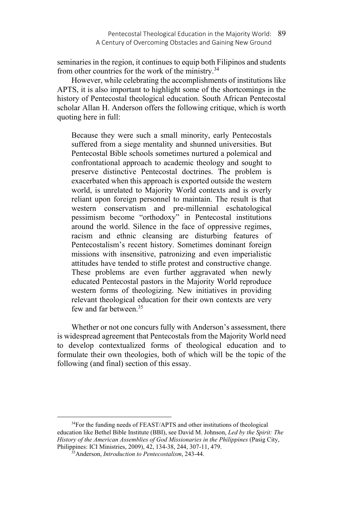seminaries in the region, it continues to equip both Filipinos and students from other countries for the work of the ministry.34

However, while celebrating the accomplishments of institutions like APTS, it is also important to highlight some of the shortcomings in the history of Pentecostal theological education. South African Pentecostal scholar Allan H. Anderson offers the following critique, which is worth quoting here in full:

Because they were such a small minority, early Pentecostals suffered from a siege mentality and shunned universities. But Pentecostal Bible schools sometimes nurtured a polemical and confrontational approach to academic theology and sought to preserve distinctive Pentecostal doctrines. The problem is exacerbated when this approach is exported outside the western world, is unrelated to Majority World contexts and is overly reliant upon foreign personnel to maintain. The result is that western conservatism and pre-millennial eschatological pessimism become "orthodoxy" in Pentecostal institutions around the world. Silence in the face of oppressive regimes, racism and ethnic cleansing are disturbing features of Pentecostalism's recent history. Sometimes dominant foreign missions with insensitive, patronizing and even imperialistic attitudes have tended to stifle protest and constructive change. These problems are even further aggravated when newly educated Pentecostal pastors in the Majority World reproduce western forms of theologizing. New initiatives in providing relevant theological education for their own contexts are very few and far between.35

Whether or not one concurs fully with Anderson's assessment, there is widespread agreement that Pentecostals from the Majority World need to develop contextualized forms of theological education and to formulate their own theologies, both of which will be the topic of the following (and final) section of this essay.

 $\overline{\phantom{a}}$ <sup>34</sup>For the funding needs of FEAST/APTS and other institutions of theological education like Bethel Bible Institute (BBI), see David M. Johnson, *Led by the Spirit: The*  History of the American Assemblies of God Missionaries in the Philippines (Pasig City, Philippines: ICI Ministries, 2009), 42, 134-38, 244, 307-11, 479. 35Anderson, *Introduction to Pentecostalism*, 243-44.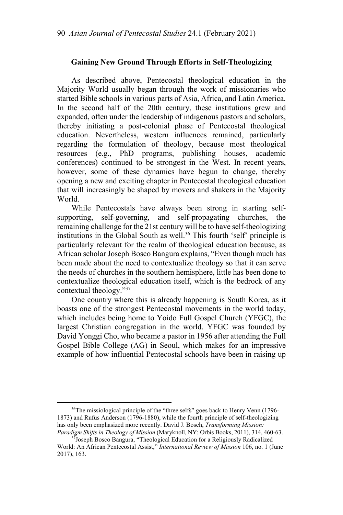## **Gaining New Ground Through Efforts in Self-Theologizing**

As described above, Pentecostal theological education in the Majority World usually began through the work of missionaries who started Bible schools in various parts of Asia, Africa, and Latin America. In the second half of the 20th century, these institutions grew and expanded, often under the leadership of indigenous pastors and scholars, thereby initiating a post-colonial phase of Pentecostal theological education. Nevertheless, western influences remained, particularly regarding the formulation of theology, because most theological resources (e.g., PhD programs, publishing houses, academic conferences) continued to be strongest in the West. In recent years, however, some of these dynamics have begun to change, thereby opening a new and exciting chapter in Pentecostal theological education that will increasingly be shaped by movers and shakers in the Majority World.

While Pentecostals have always been strong in starting selfsupporting, self-governing, and self-propagating churches, the remaining challenge for the 21st century will be to have self-theologizing institutions in the Global South as well.<sup>36</sup> This fourth 'self' principle is particularly relevant for the realm of theological education because, as African scholar Joseph Bosco Bangura explains, "Even though much has been made about the need to contextualize theology so that it can serve the needs of churches in the southern hemisphere, little has been done to contextualize theological education itself, which is the bedrock of any contextual theology."37

One country where this is already happening is South Korea, as it boasts one of the strongest Pentecostal movements in the world today, which includes being home to Yoido Full Gospel Church (YFGC), the largest Christian congregation in the world. YFGC was founded by David Yonggi Cho, who became a pastor in 1956 after attending the Full Gospel Bible College (AG) in Seoul, which makes for an impressive example of how influential Pentecostal schools have been in raising up

<sup>36</sup>The missiological principle of the "three selfs" goes back to Henry Venn (1796-1873) and Rufus Anderson (1796-1880), while the fourth principle of self-theologizing has only been emphasized more recently. David J. Bosch, *Transforming Mission:* 

*Paradigm Shifts in Theology of Mission* (Maryknoll, NY: Orbis Books, 2011), 314, 460-63. 37Joseph Bosco Bangura, "Theological Education for a Religiously Radicalized World: An African Pentecostal Assist," *International Review of Mission* 106, no. 1 (June 2017), 163.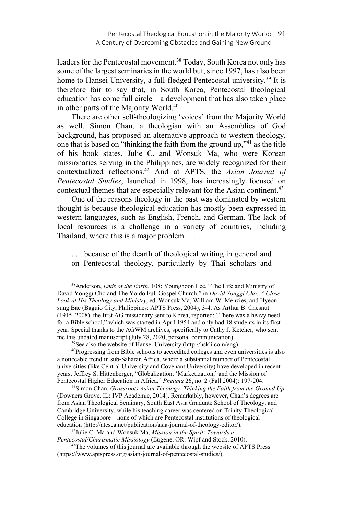leaders for the Pentecostal movement.<sup>38</sup> Today, South Korea not only has some of the largest seminaries in the world but, since 1997, has also been home to Hansei University, a full-fledged Pentecostal university.<sup>39</sup> It is therefore fair to say that, in South Korea, Pentecostal theological education has come full circle—a development that has also taken place in other parts of the Majority World.40

There are other self-theologizing 'voices' from the Majority World as well. Simon Chan, a theologian with an Assemblies of God background, has proposed an alternative approach to western theology, one that is based on "thinking the faith from the ground up,"41 as the title of his book states. Julie C. and Wonsuk Ma, who were Korean missionaries serving in the Philippines, are widely recognized for their contextualized reflections.42 And at APTS, the *Asian Journal of Pentecostal Studies*, launched in 1998, has increasingly focused on contextual themes that are especially relevant for the Asian continent.<sup>43</sup>

One of the reasons theology in the past was dominated by western thought is because theological education has mostly been expressed in western languages, such as English, French, and German. The lack of local resources is a challenge in a variety of countries, including Thailand, where this is a major problem . . .

. . . because of the dearth of theological writing in general and on Pentecostal theology, particularly by Thai scholars and

 $\overline{\phantom{a}}$ 

a noticeable trend in sub-Saharan Africa, where a substantial number of Pentecostal universities (like Central University and Covenant University) have developed in recent years. Jeffrey S. Hittenberger, "Globalization, 'Marketization,' and the Mission of Pentecostal Higher Education in Africa," *Pneuma* 26, no. 2 (Fall 2004): 197-204. 41Simon Chan, *Grassroots Asian Theology: Thinking the Faith from the Ground Up*

(Downers Grove, IL: IVP Academic, 2014). Remarkably, however, Chan's degrees are from Asian Theological Seminary, South East Asia Graduate School of Theology, and Cambridge University, while his teaching career was centered on Trinity Theological College in Singapore—none of which are Pentecostal institutions of theological education (http://atesea.net/publication/asia-journal-of-theology-editor/).

<sup>42</sup>Julie C. Ma and Wonsuk Ma, *Mission in the Spirit: Towards a Pentecostal/Charismatic Missiology* (Eugene, OR: Wipf and Stock, 2010). 43The volumes of this journal are available through the website of APTS Press

(https://www.aptspress.org/asian-journal-of-pentecostal-studies/).

<sup>38</sup>Anderson, *Ends of the Earth*, 108; Younghoon Lee, "The Life and Ministry of David Yonggi Cho and The Yoido Full Gospel Church," in *David Yonggi Cho: A Close Look at His Theology and Ministry*, ed. Wonsuk Ma, William W. Menzies, and Hyeonsung Bae (Baguio City, Philippines: APTS Press, 2004), 3-4. As Arthur B. Chesnut (1915–2008), the first AG missionary sent to Korea, reported: "There was a heavy need for a Bible school," which was started in April 1954 and only had 18 students in its first year. Special thanks to the AGWM archives, specifically to Cathy J. Ketcher, who sent me this undated manuscript (July 28, 2020, personal communication).<br><sup>39</sup>See also the website of Hansei University (http://hskli.com/eng).<br><sup>40</sup>Progressing from Bible schools to accredited colleges and even universities is a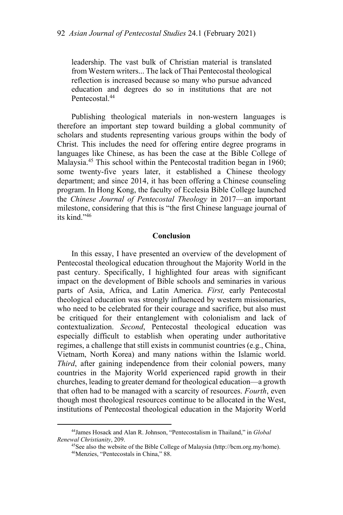leadership. The vast bulk of Christian material is translated from Western writers... The lack of Thai Pentecostal theological reflection is increased because so many who pursue advanced education and degrees do so in institutions that are not Pentecostal.<sup>44</sup>

Publishing theological materials in non-western languages is therefore an important step toward building a global community of scholars and students representing various groups within the body of Christ. This includes the need for offering entire degree programs in languages like Chinese, as has been the case at the Bible College of Malaysia.45 This school within the Pentecostal tradition began in 1960; some twenty-five years later, it established a Chinese theology department; and since 2014, it has been offering a Chinese counseling program. In Hong Kong, the faculty of Ecclesia Bible College launched the *Chinese Journal of Pentecostal Theology* in 2017—an important milestone, considering that this is "the first Chinese language journal of its kind."46

#### **Conclusion**

In this essay, I have presented an overview of the development of Pentecostal theological education throughout the Majority World in the past century. Specifically, I highlighted four areas with significant impact on the development of Bible schools and seminaries in various parts of Asia, Africa, and Latin America. *First,* early Pentecostal theological education was strongly influenced by western missionaries, who need to be celebrated for their courage and sacrifice, but also must be critiqued for their entanglement with colonialism and lack of contextualization. *Second*, Pentecostal theological education was especially difficult to establish when operating under authoritative regimes, a challenge that still exists in communist countries (e.g., China, Vietnam, North Korea) and many nations within the Islamic world. *Third*, after gaining independence from their colonial powers, many countries in the Majority World experienced rapid growth in their churches, leading to greater demand for theological education—a growth that often had to be managed with a scarcity of resources. *Fourth*, even though most theological resources continue to be allocated in the West, institutions of Pentecostal theological education in the Majority World

<sup>44</sup>James Hosack and Alan R. Johnson, "Pentecostalism in Thailand," in *Global* 

*Renewal Christianity*, 209.<br><sup>45</sup>See also the website of the Bible College of Malaysia (http://bcm.org.my/home).<br><sup>46</sup>Menzies, "Pentecostals in China," 88.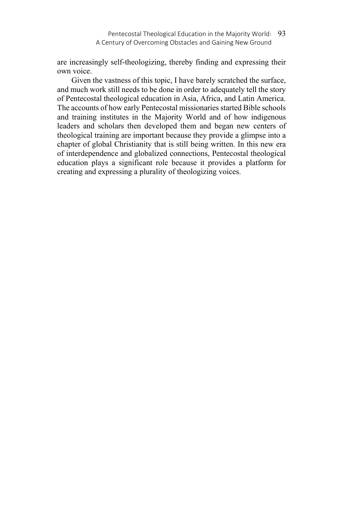are increasingly self-theologizing, thereby finding and expressing their own voice.

Given the vastness of this topic, I have barely scratched the surface, and much work still needs to be done in order to adequately tell the story of Pentecostal theological education in Asia, Africa, and Latin America. The accounts of how early Pentecostal missionaries started Bible schools and training institutes in the Majority World and of how indigenous leaders and scholars then developed them and began new centers of theological training are important because they provide a glimpse into a chapter of global Christianity that is still being written. In this new era of interdependence and globalized connections, Pentecostal theological education plays a significant role because it provides a platform for creating and expressing a plurality of theologizing voices.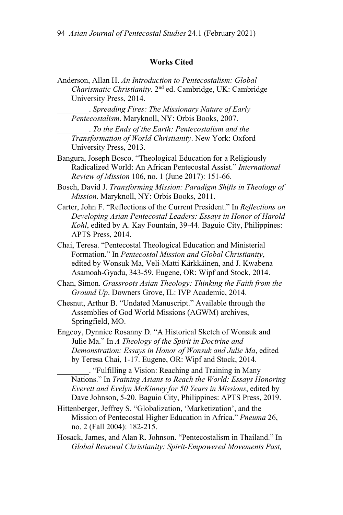## **Works Cited**

Anderson, Allan H. *An Introduction to Pentecostalism: Global Charismatic Christianity*. 2nd ed. Cambridge, UK: Cambridge University Press, 2014.

\_\_\_\_\_\_\_\_. *Spreading Fires: The Missionary Nature of Early Pentecostalism*. Maryknoll, NY: Orbis Books, 2007.

\_\_\_\_\_\_\_\_. *To the Ends of the Earth: Pentecostalism and the Transformation of World Christianity*. New York: Oxford University Press, 2013.

Bangura, Joseph Bosco. "Theological Education for a Religiously Radicalized World: An African Pentecostal Assist." *International Review of Mission* 106, no. 1 (June 2017): 151-66.

- Bosch, David J. *Transforming Mission: Paradigm Shifts in Theology of Mission*. Maryknoll, NY: Orbis Books, 2011.
- Carter, John F. "Reflections of the Current President." In *Reflections on Developing Asian Pentecostal Leaders: Essays in Honor of Harold Kohl*, edited by A. Kay Fountain, 39-44. Baguio City, Philippines: APTS Press, 2014.
- Chai, Teresa. "Pentecostal Theological Education and Ministerial Formation." In *Pentecostal Mission and Global Christianity*, edited by Wonsuk Ma, Veli-Matti Kärkkäinen, and J. Kwabena Asamoah-Gyadu, 343-59. Eugene, OR: Wipf and Stock, 2014.
- Chan, Simon. *Grassroots Asian Theology: Thinking the Faith from the Ground Up*. Downers Grove, IL: IVP Academic, 2014.
- Chesnut, Arthur B. "Undated Manuscript." Available through the Assemblies of God World Missions (AGWM) archives, Springfield, MO.

Engcoy, Dynnice Rosanny D. "A Historical Sketch of Wonsuk and Julie Ma." In *A Theology of the Spirit in Doctrine and Demonstration: Essays in Honor of Wonsuk and Julie Ma*, edited by Teresa Chai, 1-17. Eugene, OR: Wipf and Stock, 2014.

\_\_\_\_\_\_\_\_. "Fulfilling a Vision: Reaching and Training in Many Nations." In *Training Asians to Reach the World: Essays Honoring Everett and Evelyn McKinney for 50 Years in Missions*, edited by Dave Johnson, 5-20. Baguio City, Philippines: APTS Press, 2019.

- Hittenberger, Jeffrey S. "Globalization, 'Marketization', and the Mission of Pentecostal Higher Education in Africa." *Pneuma* 26, no. 2 (Fall 2004): 182-215.
- Hosack, James, and Alan R. Johnson. "Pentecostalism in Thailand." In *Global Renewal Christianity: Spirit-Empowered Movements Past,*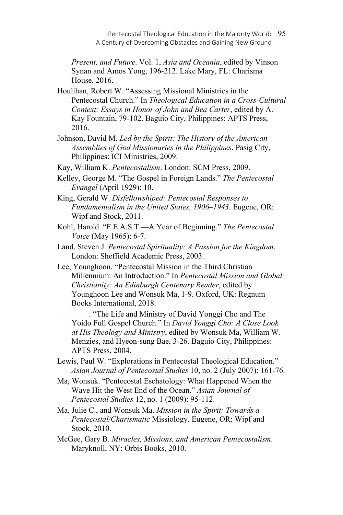Pentecostal Theological Education in the Majority World: 95 A Century of Overcoming Obstacles and Gaining New Ground

*Present, and Future*. Vol. 1, *Asia and Oceania*, edited by Vinson Synan and Amos Yong, 196-212. Lake Mary, FL: Charisma House, 2016.

- Houlihan, Robert W. "Assessing Missional Ministries in the Pentecostal Church." In *Theological Education in a Cross-Cultural Context: Essays in Honor of John and Bea Carter*, edited by A. Kay Fountain, 79-102. Baguio City, Philippines: APTS Press, 2016.
- Johnson, David M. *Led by the Spirit: The History of the American Assemblies of God Missionaries in the Philippines*. Pasig City, Philippines: ICI Ministries, 2009.
- Kay, William K. *Pentecostalism*. London: SCM Press, 2009.
- Kelley, George M. "The Gospel in Foreign Lands." *The Pentecostal Evangel* (April 1929): 10.
- King, Gerald W. *Disfellowshiped: Pentecostal Responses to Fundamentalism in the United States, 1906–1943*. Eugene, OR: Wipf and Stock, 2011.
- Kohl, Harold. "F.E.A.S.T.—A Year of Beginning." *The Pentecostal Voice* (May 1965): 6-7.
- Land, Steven J. *Pentecostal Spirituality: A Passion for the Kingdom*. London: Sheffield Academic Press, 2003.
- Lee, Younghoon. "Pentecostal Mission in the Third Christian Millennium: An Introduction." In *Pentecostal Mission and Global Christianity: An Edinburgh Centenary Reader*, edited by Younghoon Lee and Wonsuk Ma, 1-9. Oxford, UK: Regnum Books International, 2018.

\_\_\_\_\_\_\_\_. "The Life and Ministry of David Yonggi Cho and The Yoido Full Gospel Church." In *David Yonggi Cho: A Close Look at His Theology and Ministry*, edited by Wonsuk Ma, William W. Menzies, and Hyeon-sung Bae, 3-26. Baguio City, Philippines: APTS Press, 2004.

- Lewis, Paul W. "Explorations in Pentecostal Theological Education." *Asian Journal of Pentecostal Studies* 10, no. 2 (July 2007): 161-76.
- Ma, Wonsuk. "Pentecostal Eschatology: What Happened When the Wave Hit the West End of the Ocean." *Asian Journal of Pentecostal Studies* 12, no. 1 (2009): 95-112.

Ma, Julie C., and Wonsuk Ma. *Mission in the Spirit: Towards a Pentecostal/Charismatic* Missiology. Eugene, OR: Wipf and Stock, 2010.

McGee, Gary B. *Miracles, Missions, and American Pentecostalism*. Maryknoll, NY: Orbis Books, 2010.